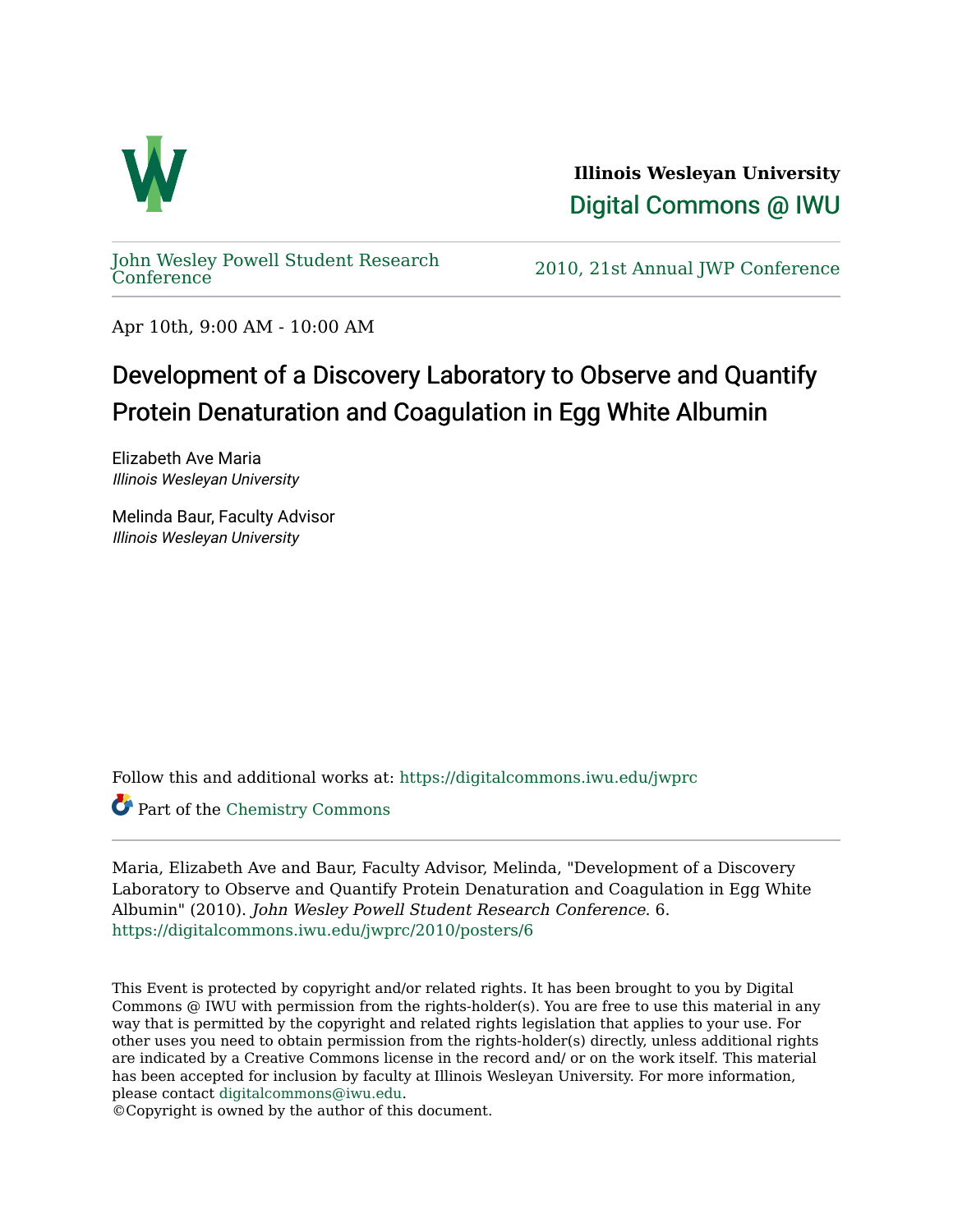

**Illinois Wesleyan University**  [Digital Commons @ IWU](https://digitalcommons.iwu.edu/) 

[John Wesley Powell Student Research](https://digitalcommons.iwu.edu/jwprc) 

2010, 21st Annual JWP [Conference](https://digitalcommons.iwu.edu/jwprc)

Apr 10th, 9:00 AM - 10:00 AM

## Development of a Discovery Laboratory to Observe and Quantify Protein Denaturation and Coagulation in Egg White Albumin

Elizabeth Ave Maria Illinois Wesleyan University

Melinda Baur, Faculty Advisor Illinois Wesleyan University

Follow this and additional works at: [https://digitalcommons.iwu.edu/jwprc](https://digitalcommons.iwu.edu/jwprc?utm_source=digitalcommons.iwu.edu%2Fjwprc%2F2010%2Fposters%2F6&utm_medium=PDF&utm_campaign=PDFCoverPages) 

Part of the [Chemistry Commons](http://network.bepress.com/hgg/discipline/131?utm_source=digitalcommons.iwu.edu%2Fjwprc%2F2010%2Fposters%2F6&utm_medium=PDF&utm_campaign=PDFCoverPages) 

Maria, Elizabeth Ave and Baur, Faculty Advisor, Melinda, "Development of a Discovery Laboratory to Observe and Quantify Protein Denaturation and Coagulation in Egg White Albumin" (2010). John Wesley Powell Student Research Conference. 6. [https://digitalcommons.iwu.edu/jwprc/2010/posters/6](https://digitalcommons.iwu.edu/jwprc/2010/posters/6?utm_source=digitalcommons.iwu.edu%2Fjwprc%2F2010%2Fposters%2F6&utm_medium=PDF&utm_campaign=PDFCoverPages) 

This Event is protected by copyright and/or related rights. It has been brought to you by Digital Commons @ IWU with permission from the rights-holder(s). You are free to use this material in any way that is permitted by the copyright and related rights legislation that applies to your use. For other uses you need to obtain permission from the rights-holder(s) directly, unless additional rights are indicated by a Creative Commons license in the record and/ or on the work itself. This material has been accepted for inclusion by faculty at Illinois Wesleyan University. For more information, please contact [digitalcommons@iwu.edu.](mailto:digitalcommons@iwu.edu)

©Copyright is owned by the author of this document.